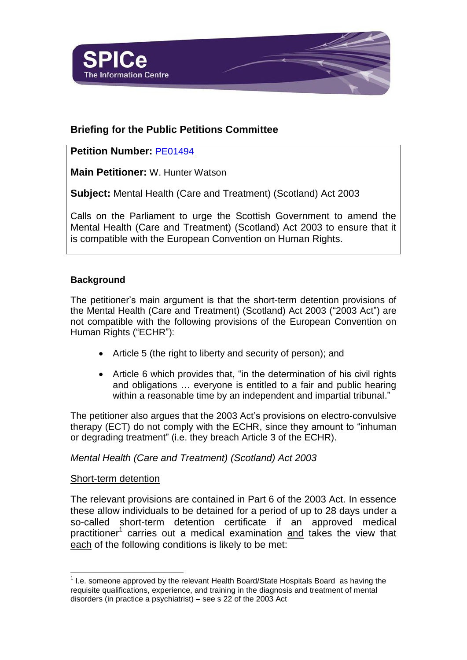

# **Briefing for the Public Petitions Committee**

## **Petition Number:** [PE01494](http://external.scottish.parliament.uk/gettinginvolved/petitions/mentalhealthlegislation)

**Main Petitioner:** W. Hunter Watson

**Subject:** Mental Health (Care and Treatment) (Scotland) Act 2003

Calls on the Parliament to urge the Scottish Government to amend the Mental Health (Care and Treatment) (Scotland) Act 2003 to ensure that it is compatible with the European Convention on Human Rights.

### **Background**

The petitioner's main argument is that the short-term detention provisions of the Mental Health (Care and Treatment) (Scotland) Act 2003 ("2003 Act") are not compatible with the following provisions of the European Convention on Human Rights ("ECHR"):

- Article 5 (the right to liberty and security of person); and
- Article 6 which provides that, "in the determination of his civil rights and obligations … everyone is entitled to a fair and public hearing within a reasonable time by an independent and impartial tribunal."

The petitioner also argues that the 2003 Act's provisions on electro-convulsive therapy (ECT) do not comply with the ECHR, since they amount to "inhuman or degrading treatment" (i.e. they breach Article 3 of the ECHR).

#### *Mental Health (Care and Treatment) (Scotland) Act 2003*

#### Short-term detention

The relevant provisions are contained in Part 6 of the 2003 Act. In essence these allow individuals to be detained for a period of up to 28 days under a so-called short-term detention certificate if an approved medical practitioner<sup>1</sup> carries out a medical examination and takes the view that each of the following conditions is likely to be met:

l  $1$  I.e. someone approved by the relevant Health Board/State Hospitals Board as having the requisite qualifications, experience, and training in the diagnosis and treatment of mental disorders (in practice a psychiatrist) – see s 22 of the 2003 Act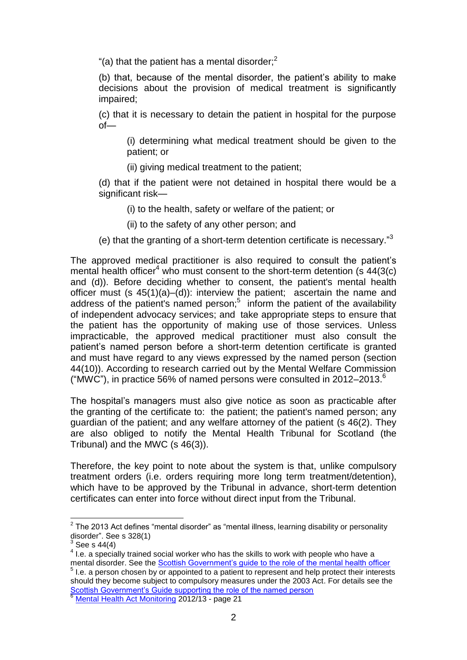"(a) that the patient has a mental disorder; $<sup>2</sup>$ </sup>

(b) that, because of the mental disorder, the patient's ability to make decisions about the provision of medical treatment is significantly impaired;

(c) that it is necessary to detain the patient in hospital for the purpose of—

(i) determining what medical treatment should be given to the patient; or

(ii) giving medical treatment to the patient;

(d) that if the patient were not detained in hospital there would be a significant risk-

(i) to the health, safety or welfare of the patient; or

(ii) to the safety of any other person; and

(e) that the granting of a short-term detention certificate is necessary."3

The approved medical practitioner is also required to consult the patient's mental health officer<sup>4</sup> who must consent to the short-term detention (s  $44(3(c)$ ) and (d)). Before deciding whether to consent, the patient's mental health officer must (s 45(1)(a)–(d)): interview the patient; ascertain the name and address of the patient's named person; $5$  inform the patient of the availability of independent advocacy services; and take appropriate steps to ensure that the patient has the opportunity of making use of those services. Unless impracticable, the approved medical practitioner must also consult the patient's named person before a short-term detention certificate is granted and must have regard to any views expressed by the named person (section 44(10)). According to research carried out by the Mental Welfare Commission ("MWC"), in practice 56% of named persons were consulted in 2012–2013. $^{\circ}$ 

The hospital's managers must also give notice as soon as practicable after the granting of the certificate to: the patient; the patient's named person; any guardian of the patient; and any welfare attorney of the patient (s 46(2). They are also obliged to notify the Mental Health Tribunal for Scotland (the Tribunal) and the MWC (s 46(3)).

Therefore, the key point to note about the system is that, unlike compulsory treatment orders (i.e. orders requiring more long term treatment/detention), which have to be approved by the Tribunal in advance, short-term detention certificates can enter into force without direct input from the Tribunal.

<sup>5</sup> I.e. a person chosen by or appointed to a patient to represent and help protect their interests should they become subject to compulsory measures under the 2003 Act. For details see the [Scottish Government's Guide supporting the role of the named person](http://www.scotland.gov.uk/Publications/2008/04/04114446/0)

l  $2$  The 2013 Act defines "mental disorder" as "mental illness, learning disability or personality disorder". See s 328(1)

<sup>3</sup> See s 44(4)

 $<sup>4</sup>$  I.e. a specially trained social worker who has the skills to work with people who have a</sup> mental disorder. See the [Scottish Government's guide to the role of the mental health officer](http://www.scotland.gov.uk/Publications/2006/10/02095357/0)

<sup>6</sup> [Mental Health Act Monitoring](http://www.mwcscot.org.uk/media/138265/mha_monitoring_report_final_25_sept_2013.pdf) 2012/13 - page 21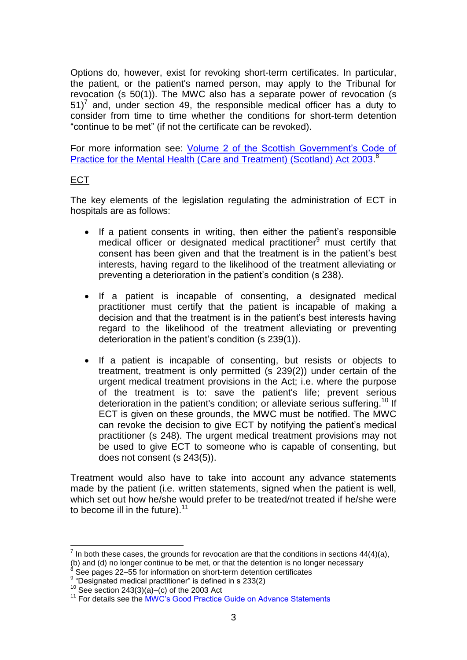Options do, however, exist for revoking short-term certificates. In particular, the patient, or the patient's named person, may apply to the Tribunal for revocation (s 50(1)). The MWC also has a separate power of revocation (s  $51$ <sup>7</sup> and, under section 49, the responsible medical officer has a duty to consider from time to time whether the conditions for short-term detention "continue to be met" (if not the certificate can be revoked).

For more information see: [Volume 2 of the Scottish Government's Code of](http://www.scotland.gov.uk/Resource/Doc/57346/0017054.pdf)  [Practice for the Mental Health \(Care and Treatment\) \(Scotland\) Act 2003.](http://www.scotland.gov.uk/Resource/Doc/57346/0017054.pdf)<sup>8</sup>

#### ECT

The key elements of the legislation regulating the administration of ECT in hospitals are as follows:

- If a patient consents in writing, then either the patient's responsible medical officer or designated medical practitioner $9$  must certify that consent has been given and that the treatment is in the patient's best interests, having regard to the likelihood of the treatment alleviating or preventing a deterioration in the patient's condition (s 238).
- If a patient is incapable of consenting, a designated medical practitioner must certify that the patient is incapable of making a decision and that the treatment is in the patient's best interests having regard to the likelihood of the treatment alleviating or preventing deterioration in the patient's condition (s 239(1)).
- If a patient is incapable of consenting, but resists or objects to treatment, treatment is only permitted (s 239(2)) under certain of the urgent medical treatment provisions in the Act; i.e. where the purpose of the treatment is to: save the patient's life; prevent serious deterioration in the patient's condition; or alleviate serious suffering.<sup>10</sup> If ECT is given on these grounds, the MWC must be notified. The MWC can revoke the decision to give ECT by notifying the patient's medical practitioner (s 248). The urgent medical treatment provisions may not be used to give ECT to someone who is capable of consenting, but does not consent (s 243(5)).

Treatment would also have to take into account any advance statements made by the patient (i.e. written statements, signed when the patient is well, which set out how he/she would prefer to be treated/not treated if he/she were to become ill in the future).<sup>11</sup>

l  $^7$  In both these cases, the grounds for revocation are that the conditions in sections 44(4)(a), (b) and (d) no longer continue to be met, or that the detention is no longer necessary<br> $8580.0888$ 

See pages 22–55 for information on short-term detention certificates

<sup>&</sup>lt;sup>9</sup> "Designated medical practitioner" is defined in s 233(2)

<sup>10</sup> See section  $243(3)(a)$ –(c) of the 2003 Act

<sup>&</sup>lt;sup>11</sup> For details see the [MWC's Good Practice Guide on Advance Statements](http://www.mwcscot.org.uk/media/128044/advance_statement_final_version_-_may_13.pdf)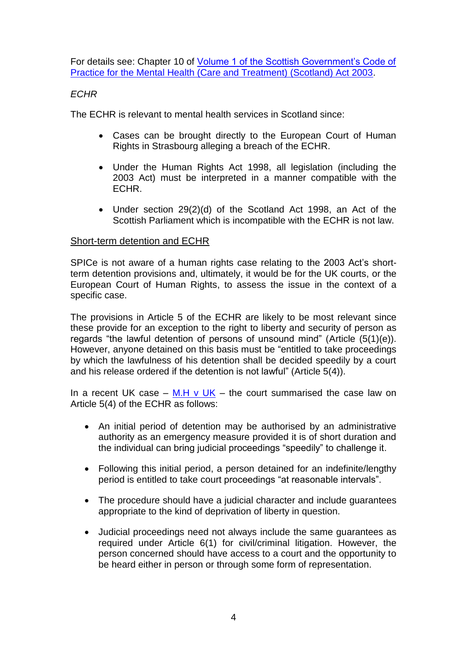For details see: Chapter 10 of [Volume 1 of the Scottish Government's Code of](http://www.scotland.gov.uk/Resource/Doc/57346/0017038.pdf)  [Practice for the Mental Health \(Care and Treatment\) \(Scotland\) Act 2003.](http://www.scotland.gov.uk/Resource/Doc/57346/0017038.pdf)

### *ECHR*

The ECHR is relevant to mental health services in Scotland since:

- Cases can be brought directly to the European Court of Human Rights in Strasbourg alleging a breach of the ECHR.
- Under the Human Rights Act 1998, all legislation (including the 2003 Act) must be interpreted in a manner compatible with the ECHR.
- Under section 29(2)(d) of the Scotland Act 1998, an Act of the Scottish Parliament which is incompatible with the ECHR is not law.

### Short-term detention and ECHR

SPICe is not aware of a human rights case relating to the 2003 Act's shortterm detention provisions and, ultimately, it would be for the UK courts, or the European Court of Human Rights, to assess the issue in the context of a specific case.

The provisions in Article 5 of the ECHR are likely to be most relevant since these provide for an exception to the right to liberty and security of person as regards "the lawful detention of persons of unsound mind" (Article (5(1)(e)). However, anyone detained on this basis must be "entitled to take proceedings by which the lawfulness of his detention shall be decided speedily by a court and his release ordered if the detention is not lawful" (Article 5(4)).

In a recent UK case – [M.H v UK](http://hudoc.echr.coe.int/sites/eng/Pages/search.aspx#{"appno":["11577/06"],"itemid":["001-127107"]}) – the court summarised the case law on Article 5(4) of the ECHR as follows:

- An initial period of detention may be authorised by an administrative authority as an emergency measure provided it is of short duration and the individual can bring judicial proceedings "speedily" to challenge it.
- Following this initial period, a person detained for an indefinite/lengthy period is entitled to take court proceedings "at reasonable intervals".
- The procedure should have a judicial character and include guarantees appropriate to the kind of deprivation of liberty in question.
- Judicial proceedings need not always include the same guarantees as required under Article 6(1) for civil/criminal litigation. However, the person concerned should have access to a court and the opportunity to be heard either in person or through some form of representation.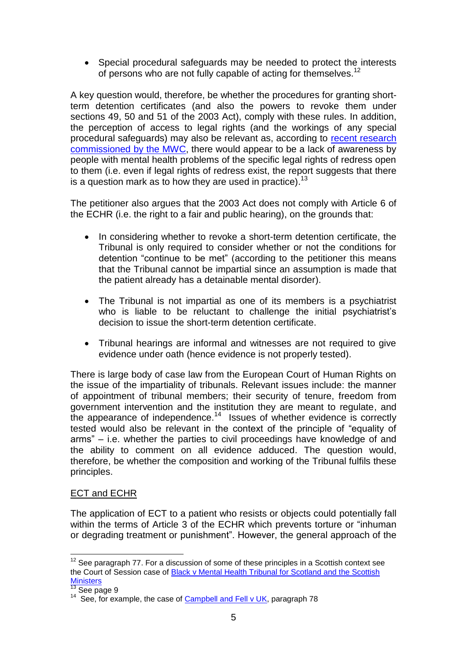• Special procedural safeguards may be needed to protect the interests of persons who are not fully capable of acting for themselves.<sup>12</sup>

A key question would, therefore, be whether the procedures for granting shortterm detention certificates (and also the powers to revoke them under sections 49, 50 and 51 of the 2003 Act), comply with these rules. In addition, the perception of access to legal rights (and the workings of any special procedural safeguards) may also be relevant as, according to [recent research](http://www.mwcscot.org.uk/media/129344/rightsinmentalhealth-report-final_apr_2013.pdf) [commissioned by the MWC,](http://www.mwcscot.org.uk/media/129344/rightsinmentalhealth-report-final_apr_2013.pdf) there would appear to be a lack of awareness by people with mental health problems of the specific legal rights of redress open to them (i.e. even if legal rights of redress exist, the report suggests that there is a question mark as to how they are used in practice).<sup>13</sup>

The petitioner also argues that the 2003 Act does not comply with Article 6 of the ECHR (i.e. the right to a fair and public hearing), on the grounds that:

- In considering whether to revoke a short-term detention certificate, the Tribunal is only required to consider whether or not the conditions for detention "continue to be met" (according to the petitioner this means that the Tribunal cannot be impartial since an assumption is made that the patient already has a detainable mental disorder).
- The Tribunal is not impartial as one of its members is a psychiatrist who is liable to be reluctant to challenge the initial psychiatrist's decision to issue the short-term detention certificate.
- Tribunal hearings are informal and witnesses are not required to give evidence under oath (hence evidence is not properly tested).

There is large body of case law from the European Court of Human Rights on the issue of the impartiality of tribunals. Relevant issues include: the manner of appointment of tribunal members; their security of tenure, freedom from government intervention and the institution they are meant to regulate, and the appearance of independence.<sup>14</sup> Issues of whether evidence is correctly tested would also be relevant in the context of the principle of "equality of arms" – i.e. whether the parties to civil proceedings have knowledge of and the ability to comment on all evidence adduced. The question would, therefore, be whether the composition and working of the Tribunal fulfils these principles.

#### ECT and ECHR

The application of ECT to a patient who resists or objects could potentially fall within the terms of Article 3 of the ECHR which prevents torture or "inhuman or degrading treatment or punishment". However, the general approach of the

l  $12$  See paragraph 77. For a discussion of some of these principles in a Scottish context see the Court of Session case of [Black v Mental Health Tribunal for Scotland and the Scottish](http://www.mhtscotland.gov.uk/mhts/files/Judgements/Black_v_MHTS_and_Scottish_Ministers.pdf)  **[Ministers](http://www.mhtscotland.gov.uk/mhts/files/Judgements/Black_v_MHTS_and_Scottish_Ministers.pdf)** 

 $\frac{13}{13}$  See page 9

<sup>&</sup>lt;sup>14</sup> See, for example, the case of **Campbell and Fell v UK**, paragraph 78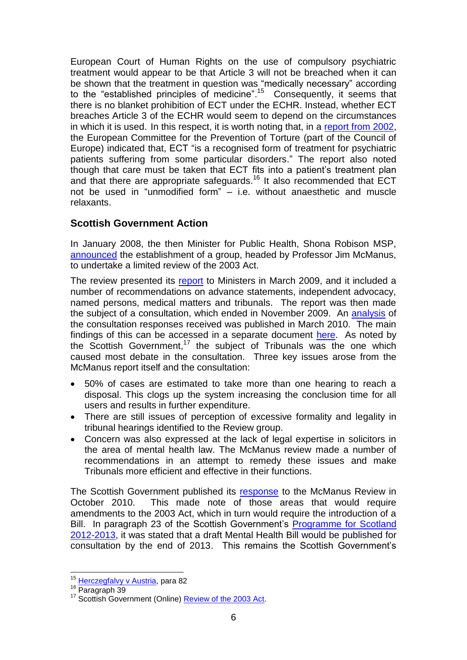European Court of Human Rights on the use of compulsory psychiatric treatment would appear to be that Article 3 will not be breached when it can be shown that the treatment in question was "medically necessary" according to the "established principles of medicine". <sup>15</sup> Consequently, it seems that there is no blanket prohibition of ECT under the ECHR. Instead, whether ECT breaches Article 3 of the ECHR would seem to depend on the circumstances in which it is used. In this respect, it is worth noting that, in a [report from 2002,](http://www.cpt.coe.int/en/documents/eng-standards.pdf) the European Committee for the Prevention of Torture (part of the Council of Europe) indicated that, ECT "is a recognised form of treatment for psychiatric patients suffering from some particular disorders." The report also noted though that care must be taken that ECT fits into a patient's treatment plan and that there are appropriate safeguards.<sup>16</sup> It also recommended that ECT not be used in "unmodified form" – i.e. without anaesthetic and muscle relaxants.

## **Scottish Government Action**

In January 2008, the then Minister for Public Health, Shona Robison MSP, [announced](http://www.scotland.gov.uk/News/Releases/2008/01/25110736) the establishment of a group, headed by Professor Jim McManus, to undertake a limited review of the 2003 Act.

The review presented its [report](http://www.scotland.gov.uk/Publications/2009/08/07143830/0) to Ministers in March 2009, and it included a number of recommendations on advance statements, independent advocacy, named persons, medical matters and tribunals. The report was then made the subject of a consultation, which ended in November 2009. An [analysis](http://www.scotland.gov.uk/Publications/2010/03/04155611/0) of the consultation responses received was published in March 2010. The main findings of this can be accessed in a separate document [here.](http://www.scotland.gov.uk/Publications/2010/03/04155521/0) As noted by the Scottish Government,<sup>17</sup> the subject of Tribunals was the one which caused most debate in the consultation. Three key issues arose from the McManus report itself and the consultation:

- 50% of cases are estimated to take more than one hearing to reach a disposal. This clogs up the system increasing the conclusion time for all users and results in further expenditure.
- There are still issues of perception of excessive formality and legality in tribunal hearings identified to the Review group.
- Concern was also expressed at the lack of legal expertise in solicitors in the area of mental health law. The McManus review made a number of recommendations in an attempt to remedy these issues and make Tribunals more efficient and effective in their functions.

The Scottish Government published its [response](http://www.scotland.gov.uk/Resource/Doc/1094/0105288.pdf) to the McManus Review in October 2010. This made note of those areas that would require amendments to the 2003 Act, which in turn would require the introduction of a Bill. In paragraph 23 of the Scottish Government's [Programme for Scotland](http://www.scotland.gov.uk/Publications/2012/09/8987/7) [2012-2013,](http://www.scotland.gov.uk/Publications/2012/09/8987/7) it was stated that a draft Mental Health Bill would be published for consultation by the end of 2013. This remains the Scottish Government's

l <sup>15</sup> [Herczegfalvy v Austria,](http://hudoc.echr.coe.int/sites/eng/pages/search.aspx?i=001-57781#{"itemid":["001-57781"]}) para 82

<sup>&</sup>lt;sup>16</sup> Paragraph 39

<sup>&</sup>lt;sup>17</sup> Scottish Government (Online) **Review of the 2003 Act.**